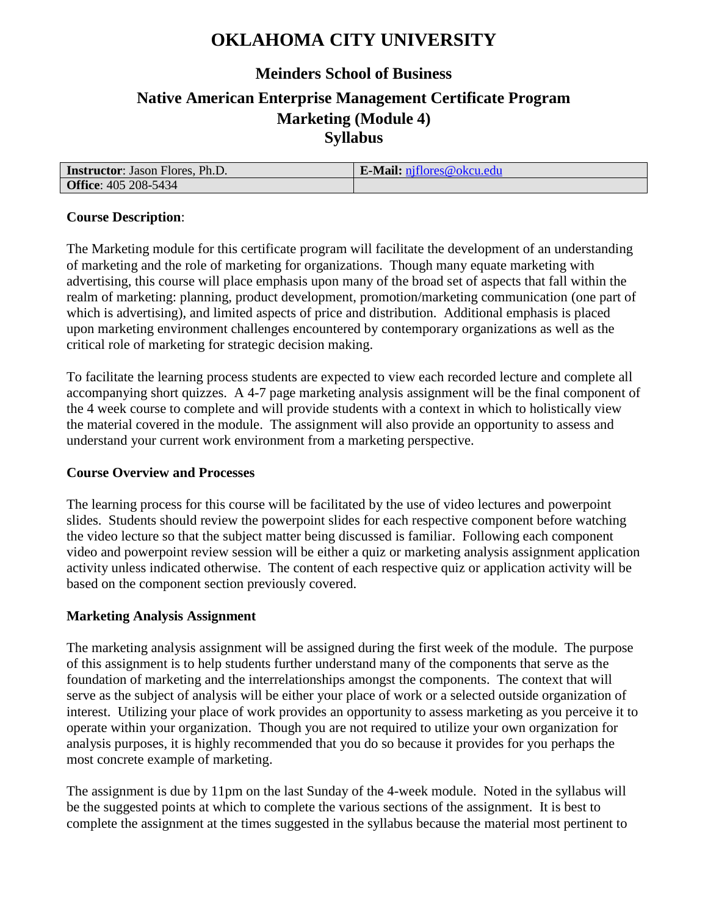# **OKLAHOMA CITY UNIVERSITY**

## **Meinders School of Business Native American Enterprise Management Certificate Program Marketing (Module 4) Syllabus**

| <b>Instructor:</b> Jason Flores, Ph.D. | E-Mail: niflores@okcu.edu |
|----------------------------------------|---------------------------|
| <b>Office: 405 208-5434</b>            |                           |

#### **Course Description**:

The Marketing module for this certificate program will facilitate the development of an understanding of marketing and the role of marketing for organizations. Though many equate marketing with advertising, this course will place emphasis upon many of the broad set of aspects that fall within the realm of marketing: planning, product development, promotion/marketing communication (one part of which is advertising), and limited aspects of price and distribution. Additional emphasis is placed upon marketing environment challenges encountered by contemporary organizations as well as the critical role of marketing for strategic decision making.

To facilitate the learning process students are expected to view each recorded lecture and complete all accompanying short quizzes. A 4-7 page marketing analysis assignment will be the final component of the 4 week course to complete and will provide students with a context in which to holistically view the material covered in the module. The assignment will also provide an opportunity to assess and understand your current work environment from a marketing perspective.

#### **Course Overview and Processes**

The learning process for this course will be facilitated by the use of video lectures and powerpoint slides. Students should review the powerpoint slides for each respective component before watching the video lecture so that the subject matter being discussed is familiar. Following each component video and powerpoint review session will be either a quiz or marketing analysis assignment application activity unless indicated otherwise. The content of each respective quiz or application activity will be based on the component section previously covered.

#### **Marketing Analysis Assignment**

The marketing analysis assignment will be assigned during the first week of the module. The purpose of this assignment is to help students further understand many of the components that serve as the foundation of marketing and the interrelationships amongst the components. The context that will serve as the subject of analysis will be either your place of work or a selected outside organization of interest. Utilizing your place of work provides an opportunity to assess marketing as you perceive it to operate within your organization. Though you are not required to utilize your own organization for analysis purposes, it is highly recommended that you do so because it provides for you perhaps the most concrete example of marketing.

The assignment is due by 11pm on the last Sunday of the 4-week module. Noted in the syllabus will be the suggested points at which to complete the various sections of the assignment. It is best to complete the assignment at the times suggested in the syllabus because the material most pertinent to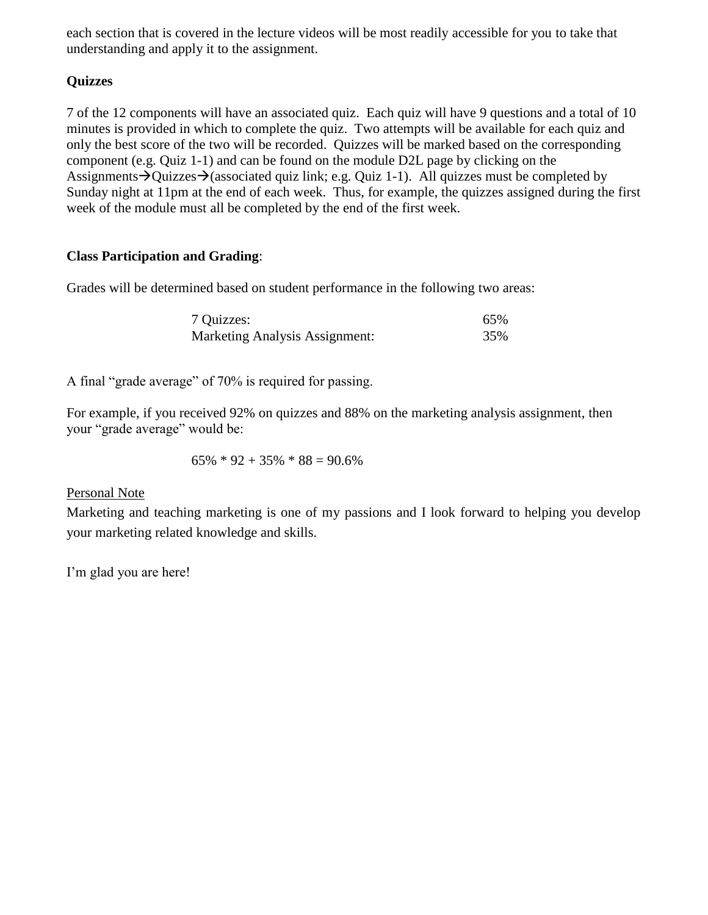each section that is covered in the lecture videos will be most readily accessible for you to take that understanding and apply it to the assignment.

### **Quizzes**

7 of the 12 components will have an associated quiz. Each quiz will have 9 questions and a total of 10 minutes is provided in which to complete the quiz. Two attempts will be available for each quiz and only the best score of the two will be recorded. Quizzes will be marked based on the corresponding component (e.g. Quiz 1-1) and can be found on the module D2L page by clicking on the Assignments  $\rightarrow$  Quizzes $\rightarrow$  (associated quiz link; e.g. Quiz 1-1). All quizzes must be completed by Sunday night at 11pm at the end of each week. Thus, for example, the quizzes assigned during the first week of the module must all be completed by the end of the first week.

### **Class Participation and Grading**:

Grades will be determined based on student performance in the following two areas:

| 7 Quizzes:                            | 65% |
|---------------------------------------|-----|
| <b>Marketing Analysis Assignment:</b> | 35% |

A final "grade average" of 70% is required for passing.

For example, if you received 92% on quizzes and 88% on the marketing analysis assignment, then your "grade average" would be:

 $65\% * 92 + 35\% * 88 = 90.6\%$ 

Personal Note

Marketing and teaching marketing is one of my passions and I look forward to helping you develop your marketing related knowledge and skills.

I'm glad you are here!